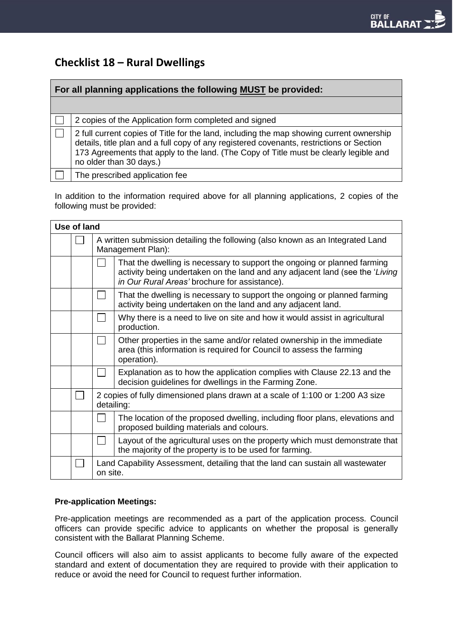# **Checklist 18 – Rural Dwellings**

| For all planning applications the following MUST be provided: |                                                                                                                                                                                                                                                                                                          |  |  |  |
|---------------------------------------------------------------|----------------------------------------------------------------------------------------------------------------------------------------------------------------------------------------------------------------------------------------------------------------------------------------------------------|--|--|--|
|                                                               |                                                                                                                                                                                                                                                                                                          |  |  |  |
|                                                               | 2 copies of the Application form completed and signed                                                                                                                                                                                                                                                    |  |  |  |
|                                                               | 2 full current copies of Title for the land, including the map showing current ownership<br>details, title plan and a full copy of any registered covenants, restrictions or Section<br>173 Agreements that apply to the land. (The Copy of Title must be clearly legible and<br>no older than 30 days.) |  |  |  |
|                                                               | The prescribed application fee                                                                                                                                                                                                                                                                           |  |  |  |

In addition to the information required above for all planning applications, 2 copies of the following must be provided:

| Use of land |  |                                                                                                     |                                                                                                                                                                                                           |  |
|-------------|--|-----------------------------------------------------------------------------------------------------|-----------------------------------------------------------------------------------------------------------------------------------------------------------------------------------------------------------|--|
|             |  | A written submission detailing the following (also known as an Integrated Land<br>Management Plan): |                                                                                                                                                                                                           |  |
|             |  |                                                                                                     | That the dwelling is necessary to support the ongoing or planned farming<br>activity being undertaken on the land and any adjacent land (see the 'Living<br>in Our Rural Areas' brochure for assistance). |  |
|             |  |                                                                                                     | That the dwelling is necessary to support the ongoing or planned farming<br>activity being undertaken on the land and any adjacent land.                                                                  |  |
|             |  |                                                                                                     | Why there is a need to live on site and how it would assist in agricultural<br>production.                                                                                                                |  |
|             |  |                                                                                                     | Other properties in the same and/or related ownership in the immediate<br>area (this information is required for Council to assess the farming<br>operation).                                             |  |
|             |  |                                                                                                     | Explanation as to how the application complies with Clause 22.13 and the<br>decision guidelines for dwellings in the Farming Zone.                                                                        |  |
|             |  | 2 copies of fully dimensioned plans drawn at a scale of 1:100 or 1:200 A3 size<br>detailing:        |                                                                                                                                                                                                           |  |
|             |  |                                                                                                     | The location of the proposed dwelling, including floor plans, elevations and<br>proposed building materials and colours.                                                                                  |  |
|             |  |                                                                                                     | Layout of the agricultural uses on the property which must demonstrate that<br>the majority of the property is to be used for farming.                                                                    |  |
|             |  | Land Capability Assessment, detailing that the land can sustain all wastewater<br>on site.          |                                                                                                                                                                                                           |  |

## **Pre-application Meetings:**

Pre-application meetings are recommended as a part of the application process. Council officers can provide specific advice to applicants on whether the proposal is generally consistent with the Ballarat Planning Scheme.

Council officers will also aim to assist applicants to become fully aware of the expected standard and extent of documentation they are required to provide with their application to reduce or avoid the need for Council to request further information.